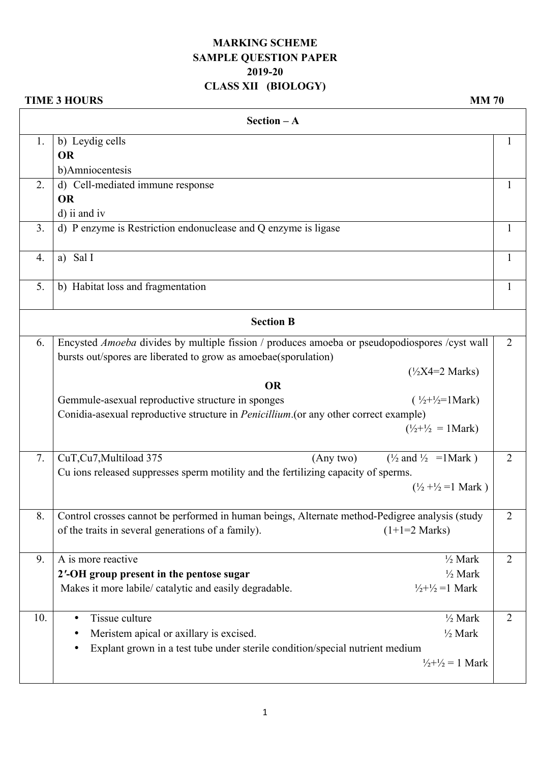## **MARKING SCHEME SAMPLE QUESTION PAPER 2019-20 CLASS XII (BIOLOGY)**

## **TIME 3 HOURS** MM 70

| $Section - A$ |                                                                                                |                |
|---------------|------------------------------------------------------------------------------------------------|----------------|
| 1.            | b) Leydig cells                                                                                | 1              |
|               | <b>OR</b>                                                                                      |                |
|               | b)Amniocentesis                                                                                |                |
| 2.            | d) Cell-mediated immune response                                                               | 1              |
|               | <b>OR</b>                                                                                      |                |
|               | d) ii and iv                                                                                   |                |
| 3.            | d) P enzyme is Restriction endonuclease and Q enzyme is ligase                                 | 1              |
| 4.            | a) Sal I                                                                                       | 1              |
| 5.            | b) Habitat loss and fragmentation                                                              | $\mathbf{1}$   |
|               | <b>Section B</b>                                                                               |                |
| 6.            | Encysted Amoeba divides by multiple fission / produces amoeba or pseudopodiospores /cyst wall  | $\overline{2}$ |
|               | bursts out/spores are liberated to grow as amoebae(sporulation)                                |                |
|               | $(\frac{1}{2}X4=2 \text{ Marks})$                                                              |                |
|               | <b>OR</b>                                                                                      |                |
|               | Gemmule-asexual reproductive structure in sponges<br>$(\frac{1}{2}+\frac{1}{2}=1$ Mark)        |                |
|               | Conidia-asexual reproductive structure in <i>Penicillium</i> (or any other correct example)    |                |
|               | $(\frac{1}{2} + \frac{1}{2}) = 1$ Mark)                                                        |                |
| 7.            | CuT, Cu7, Multiload 375<br>$\frac{1}{2}$ and $\frac{1}{2}$ = 1 Mark )<br>(Any two)             | 2              |
|               | Cu ions released suppresses sperm motility and the fertilizing capacity of sperms.             |                |
|               | $(\frac{1}{2} + \frac{1}{2}) = 1$ Mark)                                                        |                |
| 8.            | Control crosses cannot be performed in human beings, Alternate method-Pedigree analysis (study | $\overline{c}$ |
|               | of the traits in several generations of a family).<br>$(1+1=2$ Marks)                          |                |
|               |                                                                                                |                |
| 9.            | A is more reactive<br>$\frac{1}{2}$ Mark                                                       | $\overline{2}$ |
|               | $\frac{1}{2}$ Mark<br>2'-OH group present in the pentose sugar                                 |                |
|               | Makes it more labile/ catalytic and easily degradable.<br>$\frac{1}{2} + \frac{1}{2} = 1$ Mark |                |
|               |                                                                                                |                |
| 10.           | Tissue culture<br>$\frac{1}{2}$ Mark<br>$\bullet$                                              | $\overline{2}$ |
|               | $\frac{1}{2}$ Mark<br>Meristem apical or axillary is excised.<br>٠                             |                |
|               | Explant grown in a test tube under sterile condition/special nutrient medium<br>$\bullet$      |                |
|               | $\frac{1}{2} + \frac{1}{2} = 1$ Mark                                                           |                |
|               |                                                                                                |                |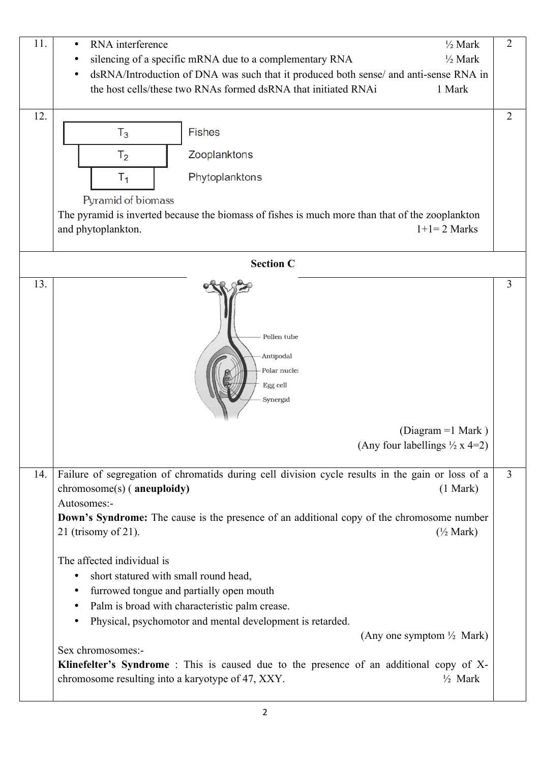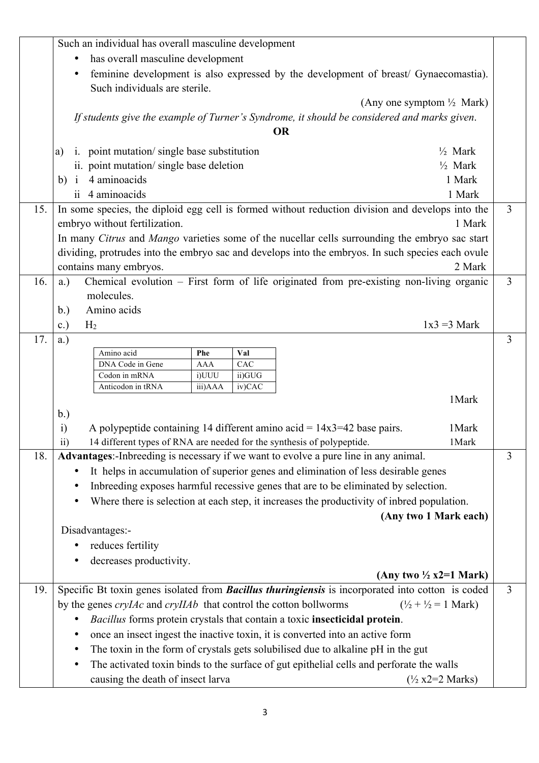|     | Such an individual has overall masculine development                                                                                                                              |   |
|-----|-----------------------------------------------------------------------------------------------------------------------------------------------------------------------------------|---|
|     | has overall masculine development                                                                                                                                                 |   |
|     | feminine development is also expressed by the development of breast/ Gynaecomastia).<br>Such individuals are sterile.                                                             |   |
|     | (Any one symptom $\frac{1}{2}$ Mark)                                                                                                                                              |   |
|     | If students give the example of Turner's Syndrome, it should be considered and marks given.                                                                                       |   |
|     | <b>OR</b>                                                                                                                                                                         |   |
|     | i. point mutation/single base substitution<br>$\frac{1}{2}$ Mark<br>a)                                                                                                            |   |
|     | $\frac{1}{2}$ Mark<br>ii. point mutation/single base deletion                                                                                                                     |   |
|     | b) $i$ 4 aminoacids<br>1 Mark                                                                                                                                                     |   |
|     | ii 4 aminoacids<br>1 Mark                                                                                                                                                         |   |
| 15. | In some species, the diploid egg cell is formed without reduction division and develops into the                                                                                  | 3 |
|     | embryo without fertilization.<br>1 Mark                                                                                                                                           |   |
|     | In many Citrus and Mango varieties some of the nucellar cells surrounding the embryo sac start                                                                                    |   |
|     | dividing, protrudes into the embryo sac and develops into the embryos. In such species each ovule                                                                                 |   |
|     | contains many embryos.<br>2 Mark                                                                                                                                                  |   |
| 16. | Chemical evolution – First form of life originated from pre-existing non-living organic<br>$a.$ )                                                                                 | 3 |
|     | molecules.                                                                                                                                                                        |   |
|     | Amino acids<br>b.)                                                                                                                                                                |   |
|     | $1x3 = 3$ Mark<br>c.)<br>H <sub>2</sub>                                                                                                                                           |   |
| 17. | a.)                                                                                                                                                                               | 3 |
|     | Amino acid<br>Val<br>Phe<br>CAC<br>DNA Code in Gene<br>AAA                                                                                                                        |   |
|     | Codon in mRNA<br>i)UUU<br>ii)GUG                                                                                                                                                  |   |
|     | Anticodon in tRNA<br>iv)CAC<br>iii)AAA                                                                                                                                            |   |
|     | 1 Mark                                                                                                                                                                            |   |
|     | b.)<br>1 Mark                                                                                                                                                                     |   |
|     | A polypeptide containing 14 different amino acid = $14x3=42$ base pairs.<br>$\ddot{a}$<br>14 different types of RNA are needed for the synthesis of polypeptide.<br>1 Mark<br>11) |   |
| 18. | Advantages:-Inbreeding is necessary if we want to evolve a pure line in any animal.                                                                                               | 3 |
|     | It helps in accumulation of superior genes and elimination of less desirable genes                                                                                                |   |
|     | Inbreeding exposes harmful recessive genes that are to be eliminated by selection.                                                                                                |   |
|     | Where there is selection at each step, it increases the productivity of inbred population.                                                                                        |   |
|     | (Any two 1 Mark each)                                                                                                                                                             |   |
|     | Disadvantages:-                                                                                                                                                                   |   |
|     | reduces fertility                                                                                                                                                                 |   |
|     | decreases productivity.                                                                                                                                                           |   |
|     | (Any two $\frac{1}{2}$ x2=1 Mark)                                                                                                                                                 |   |
| 19. | Specific Bt toxin genes isolated from <b>Bacillus thuringiensis</b> is incorporated into cotton is coded                                                                          | 3 |
|     | by the genes crylAc and crylIAb that control the cotton bollworms<br>$(\frac{1}{2} + \frac{1}{2}) = 1$ Mark)                                                                      |   |
|     | Bacillus forms protein crystals that contain a toxic insecticidal protein.                                                                                                        |   |
|     | once an insect ingest the inactive toxin, it is converted into an active form<br>$\bullet$                                                                                        |   |
|     | The toxin in the form of crystals gets solubilised due to alkaline pH in the gut                                                                                                  |   |
|     | The activated toxin binds to the surface of gut epithelial cells and perforate the walls                                                                                          |   |
|     | causing the death of insect larva<br>$(\frac{1}{2} x2=2$ Marks)                                                                                                                   |   |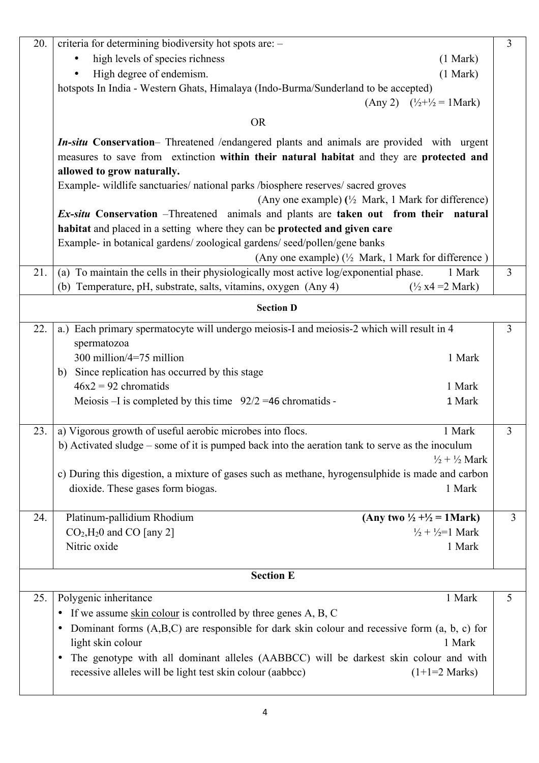| 20.              | criteria for determining biodiversity hot spots are: -                                                | $\overline{3}$ |
|------------------|-------------------------------------------------------------------------------------------------------|----------------|
|                  | high levels of species richness<br>(1 Mark)                                                           |                |
|                  | High degree of endemism.<br>(1 Mark)                                                                  |                |
|                  | hotspots In India - Western Ghats, Himalaya (Indo-Burma/Sunderland to be accepted)                    |                |
|                  | (Any 2) $(\frac{1}{2} + \frac{1}{2}) = 1$ Mark)                                                       |                |
|                  | <b>OR</b>                                                                                             |                |
|                  | <b>In-situ Conservation</b> – Threatened /endangered plants and animals are provided with urgent      |                |
|                  | measures to save from extinction within their natural habitat and they are protected and              |                |
|                  | allowed to grow naturally.                                                                            |                |
|                  | Example- wildlife sanctuaries/ national parks /biosphere reserves/ sacred groves                      |                |
|                  | (Any one example) $\binom{1}{2}$ Mark, 1 Mark for difference)                                         |                |
|                  | <i>Ex-situ</i> Conservation –Threatened animals and plants are taken out from their natural           |                |
|                  | habitat and placed in a setting where they can be protected and given care                            |                |
|                  | Example- in botanical gardens/ zoological gardens/ seed/pollen/gene banks                             |                |
|                  | (Any one example) $\frac{1}{2}$ Mark, 1 Mark for difference)                                          |                |
| 21.              | (a) To maintain the cells in their physiologically most active log/exponential phase.<br>1 Mark       | $\overline{3}$ |
|                  | (b) Temperature, pH, substrate, salts, vitamins, oxygen (Any 4)<br>$\frac{1}{2}$ x4 = 2 Mark)         |                |
|                  | <b>Section D</b>                                                                                      |                |
| 22.              | a.) Each primary spermatocyte will undergo meiosis-I and meiosis-2 which will result in 4             | $\overline{3}$ |
|                  | spermatozoa                                                                                           |                |
|                  | 300 million/4=75 million<br>1 Mark                                                                    |                |
|                  | b) Since replication has occurred by this stage                                                       |                |
|                  | $46x2 = 92$ chromatids<br>1 Mark                                                                      |                |
|                  | Meiosis –I is completed by this time $92/2 = 46$ chromatids -<br>1 Mark                               |                |
| 23.              | a) Vigorous growth of useful aerobic microbes into flocs.<br>1 Mark                                   | 3              |
|                  | b) Activated sludge – some of it is pumped back into the aeration tank to serve as the inoculum       |                |
|                  | $\frac{1}{2} + \frac{1}{2}$ Mark                                                                      |                |
|                  | c) During this digestion, a mixture of gases such as methane, hyrogensulphide is made and carbon      |                |
|                  | dioxide. These gases form biogas.<br>1 Mark                                                           |                |
|                  |                                                                                                       |                |
| 24.              | Platinum-pallidium Rhodium<br>(Any two $\frac{1}{2} + \frac{1}{2} = 1$ Mark)                          | 3              |
|                  | $CO2, H20$ and CO [any 2]<br>$\frac{1}{2} + \frac{1}{2} = 1$ Mark                                     |                |
|                  | Nitric oxide<br>1 Mark                                                                                |                |
|                  |                                                                                                       |                |
| <b>Section E</b> |                                                                                                       |                |
| 25.              | Polygenic inheritance<br>1 Mark                                                                       | 5              |
|                  | • If we assume skin colour is controlled by three genes A, B, C                                       |                |
|                  | Dominant forms $(A,B,C)$ are responsible for dark skin colour and recessive form $(a, b, c)$ for<br>٠ |                |
|                  | light skin colour<br>1 Mark                                                                           |                |
|                  | The genotype with all dominant alleles (AABBCC) will be darkest skin colour and with<br>$\bullet$     |                |
|                  | recessive alleles will be light test skin colour (aabbcc)<br>$(1+1=2$ Marks)                          |                |
|                  |                                                                                                       |                |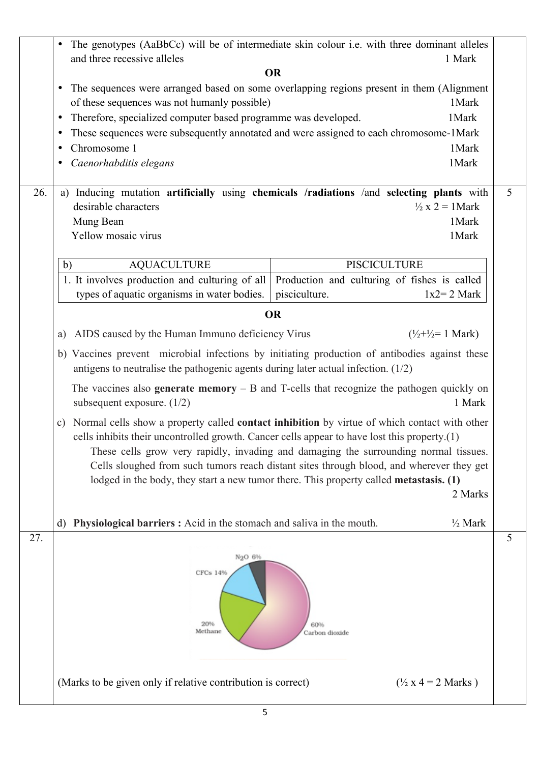|     | (Marks to be given only if relative contribution is correct)<br>$\frac{1}{2}$ x 4 = 2 Marks)<br>5                                                                                                                                                                                                                                                                                                                                                                                                                                                |   |
|-----|--------------------------------------------------------------------------------------------------------------------------------------------------------------------------------------------------------------------------------------------------------------------------------------------------------------------------------------------------------------------------------------------------------------------------------------------------------------------------------------------------------------------------------------------------|---|
| 27. | N <sub>2</sub> O 6%<br>CFCs 14%<br>20%<br>60%<br>Methane<br>Carbon dioxide                                                                                                                                                                                                                                                                                                                                                                                                                                                                       | 5 |
|     | <b>Physiological barriers :</b> Acid in the stomach and saliva in the mouth.<br>$\frac{1}{2}$ Mark<br>d)                                                                                                                                                                                                                                                                                                                                                                                                                                         |   |
|     | subsequent exposure. $(1/2)$<br>1 Mark<br>Normal cells show a property called contact inhibition by virtue of which contact with other<br>$\mathbf{c})$<br>cells inhibits their uncontrolled growth. Cancer cells appear to have lost this property.(1)<br>These cells grow very rapidly, invading and damaging the surrounding normal tissues.<br>Cells sloughed from such tumors reach distant sites through blood, and wherever they get<br>lodged in the body, they start a new tumor there. This property called metastasis. (1)<br>2 Marks |   |
|     | antigens to neutralise the pathogenic agents during later actual infection. $(1/2)$<br>The vaccines also <b>generate memory</b> $-$ B and T-cells that recognize the pathogen quickly on                                                                                                                                                                                                                                                                                                                                                         |   |
|     | b) Vaccines prevent microbial infections by initiating production of antibodies against these                                                                                                                                                                                                                                                                                                                                                                                                                                                    |   |
|     | AIDS caused by the Human Immuno deficiency Virus<br>$(\frac{1}{2} + \frac{1}{2}) = 1$ Mark)<br>a)                                                                                                                                                                                                                                                                                                                                                                                                                                                |   |
|     | <b>OR</b>                                                                                                                                                                                                                                                                                                                                                                                                                                                                                                                                        |   |
|     | <b>PISCICULTURE</b><br><b>AQUACULTURE</b><br>b)<br>1. It involves production and culturing of all<br>Production and culturing of fishes is called<br>types of aquatic organisms in water bodies.<br>pisciculture.<br>$1x2=2$ Mark                                                                                                                                                                                                                                                                                                                |   |
|     | Mung Bean<br>1 Mark<br>Yellow mosaic virus<br>1Mark                                                                                                                                                                                                                                                                                                                                                                                                                                                                                              |   |
| 26. | a) Inducing mutation artificially using chemicals /radiations /and selecting plants with<br>desirable characters<br>$\frac{1}{2}$ x 2 = 1 Mark                                                                                                                                                                                                                                                                                                                                                                                                   | 5 |
|     | Chromosome 1<br>1Mark<br>٠<br>1Mark<br>Caenorhabditis elegans<br>٠                                                                                                                                                                                                                                                                                                                                                                                                                                                                               |   |
|     | These sequences were subsequently annotated and were assigned to each chromosome-1Mark<br>٠                                                                                                                                                                                                                                                                                                                                                                                                                                                      |   |
|     | of these sequences was not humanly possible)<br>1 Mark<br>Therefore, specialized computer based programme was developed.<br>1Mark<br>$\bullet$                                                                                                                                                                                                                                                                                                                                                                                                   |   |
|     | <b>OR</b><br>The sequences were arranged based on some overlapping regions present in them (Alignment<br>٠                                                                                                                                                                                                                                                                                                                                                                                                                                       |   |
|     | The genotypes (AaBbCc) will be of intermediate skin colour <i>i.e.</i> with three dominant alleles<br>$\bullet$<br>and three recessive alleles<br>1 Mark                                                                                                                                                                                                                                                                                                                                                                                         |   |